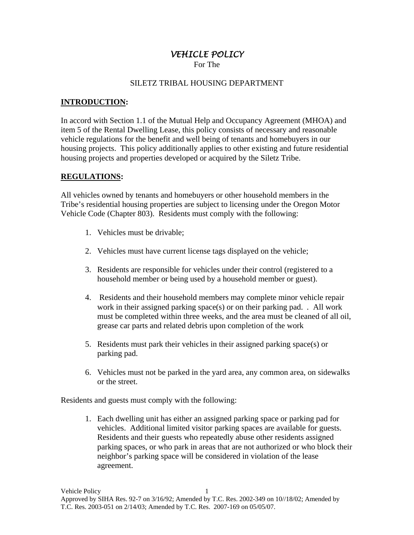# *VEHICLE POLICY*

For The

#### SILETZ TRIBAL HOUSING DEPARTMENT

### **INTRODUCTION:**

In accord with Section 1.1 of the Mutual Help and Occupancy Agreement (MHOA) and item 5 of the Rental Dwelling Lease, this policy consists of necessary and reasonable vehicle regulations for the benefit and well being of tenants and homebuyers in our housing projects. This policy additionally applies to other existing and future residential housing projects and properties developed or acquired by the Siletz Tribe.

#### **REGULATIONS:**

All vehicles owned by tenants and homebuyers or other household members in the Tribe's residential housing properties are subject to licensing under the Oregon Motor Vehicle Code (Chapter 803). Residents must comply with the following:

- 1. Vehicles must be drivable;
- 2. Vehicles must have current license tags displayed on the vehicle;
- 3. Residents are responsible for vehicles under their control (registered to a household member or being used by a household member or guest).
- 4. Residents and their household members may complete minor vehicle repair work in their assigned parking space(s) or on their parking pad. *.* All work must be completed within three weeks, and the area must be cleaned of all oil, grease car parts and related debris upon completion of the work
- 5. Residents must park their vehicles in their assigned parking space(s) or parking pad.
- 6. Vehicles must not be parked in the yard area, any common area, on sidewalks or the street.

Residents and guests must comply with the following:

1. Each dwelling unit has either an assigned parking space or parking pad for vehicles. Additional limited visitor parking spaces are available for guests. Residents and their guests who repeatedly abuse other residents assigned parking spaces, or who park in areas that are not authorized or who block their neighbor's parking space will be considered in violation of the lease agreement.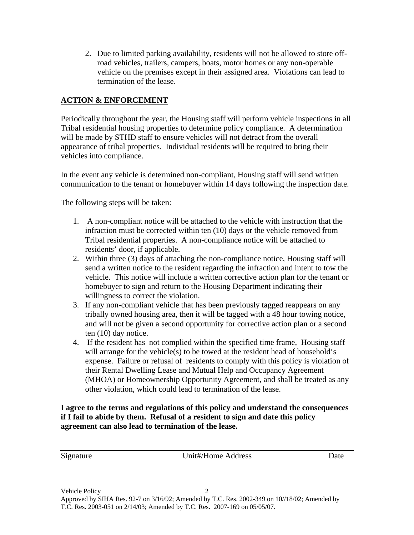2. Due to limited parking availability, residents will not be allowed to store offroad vehicles, trailers, campers, boats, motor homes or any non-operable vehicle on the premises except in their assigned area. Violations can lead to termination of the lease.

## **ACTION & ENFORCEMENT**

Periodically throughout the year, the Housing staff will perform vehicle inspections in all Tribal residential housing properties to determine policy compliance. A determination will be made by STHD staff to ensure vehicles will not detract from the overall appearance of tribal properties. Individual residents will be required to bring their vehicles into compliance.

In the event any vehicle is determined non-compliant, Housing staff will send written communication to the tenant or homebuyer within 14 days following the inspection date.

The following steps will be taken:

- 1. A non-compliant notice will be attached to the vehicle with instruction that the infraction must be corrected within ten (10) days or the vehicle removed from Tribal residential properties. A non-compliance notice will be attached to residents' door, if applicable.
- 2. Within three (3) days of attaching the non-compliance notice, Housing staff will send a written notice to the resident regarding the infraction and intent to tow the vehicle. This notice will include a written corrective action plan for the tenant or homebuyer to sign and return to the Housing Department indicating their willingness to correct the violation.
- 3. If any non-compliant vehicle that has been previously tagged reappears on any tribally owned housing area, then it will be tagged with a 48 hour towing notice, and will not be given a second opportunity for corrective action plan or a second ten (10) day notice.
- 4. If the resident has not complied within the specified time frame, Housing staff will arrange for the vehicle(s) to be towed at the resident head of household's expense. Failure or refusal of residents to comply with this policy is violation of their Rental Dwelling Lease and Mutual Help and Occupancy Agreement (MHOA) or Homeownership Opportunity Agreement, and shall be treated as any other violation, which could lead to termination of the lease.

**I agree to the terms and regulations of this policy and understand the consequences if I fail to abide by them. Refusal of a resident to sign and date this policy agreement can also lead to termination of the lease.** 

Signature Unit#/Home Address Date